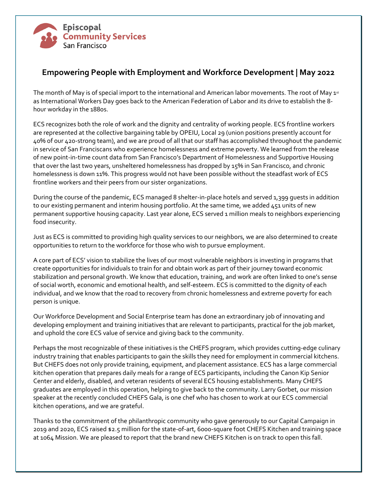

## **Empowering People with Employment and Workforce Development | May 2022**

The month of May is of special import to the international and American labor movements. The root of May 1st as International Workers Day goes back to the American Federation of Labor and its drive to establish the 8 hour workday in the 1880s.

ECS recognizes both the role of work and the dignity and centrality of working people. ECS frontline workers are represented at the collective bargaining table by OPEIU, Local 29 (union positions presently account for 40% of our 420-strong team), and we are proud of all that our staff has accomplished throughout the pandemic in service of San Franciscans who experience homelessness and extreme poverty. We learned from the release of new point-in-time count data from San Francisco's Department of Homelessness and Supportive Housing that over the last two years, unsheltered homelessness has dropped by 15% in San Francisco, and chronic homelessness is down 11%. This progress would not have been possible without the steadfast work of ECS frontline workers and their peers from our sister organizations.

During the course of the pandemic, ECS managed 8 shelter-in-place hotels and served 1,399 guests in addition to our existing permanent and interim housing portfolio. At the same time, we added 451 units of new permanent supportive housing capacity. Last year alone, ECS served 1 million meals to neighbors experiencing food insecurity.

Just as ECS is committed to providing high quality services to our neighbors, we are also determined to create opportunities to return to the workforce for those who wish to pursue employment.

A core part of ECS' vision to stabilize the lives of our most vulnerable neighbors is investing in programs that create opportunities for individuals to train for and obtain work as part of their journey toward economic stabilization and personal growth. We know that education, training, and work are often linked to one's sense of social worth, economic and emotional health, and self-esteem. ECS is committed to the dignity of each individual, and we know that the road to recovery from chronic homelessness and extreme poverty for each person is unique.

Our Workforce Development and Social Enterprise team has done an extraordinary job of innovating and developing employment and training initiatives that are relevant to participants, practical for the job market, and uphold the core ECS value of service and giving back to the community.

Perhaps the most recognizable of these initiatives is the CHEFS program, which provides cutting-edge culinary industry training that enables participants to gain the skills they need for employment in commercial kitchens. But CHEFS does not only provide training, equipment, and placement assistance. ECS has a large commercial kitchen operation that prepares daily meals for a range of ECS participants, including the Canon Kip Senior Center and elderly, disabled, and veteran residents of several ECS housing establishments. Many CHEFS graduates are employed in this operation, helping to give back to the community. Larry Gorbet, our mission speaker at the recently concluded CHEFS Gala, is one chef who has chosen to work at our ECS commercial kitchen operations, and we are grateful.

Thanks to the commitment of the philanthropic community who gave generously to our Capital Campaign in 2019 and 2020, ECS raised \$2.5 million for the state-of-art, 6000-square foot CHEFS Kitchen and training space at 1064 Mission. We are pleased to report that the brand new CHEFS Kitchen is on track to open this fall.